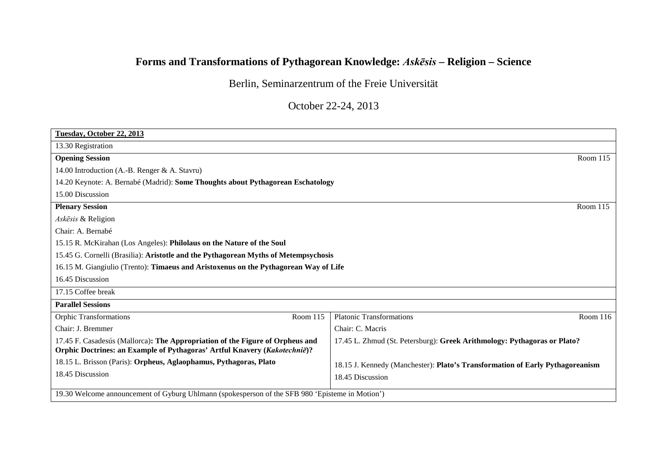## **Forms and Transformations of Pythagorean Knowledge:** *Askēsis* **– Religion – Science**

Berlin, Seminarzentrum of the Freie Universität

October 22-24, 2013

| Tuesday, October 22, 2013                                                                                                                                  |                                                                               |  |
|------------------------------------------------------------------------------------------------------------------------------------------------------------|-------------------------------------------------------------------------------|--|
| 13.30 Registration                                                                                                                                         |                                                                               |  |
| <b>Opening Session</b>                                                                                                                                     | Room $115$                                                                    |  |
| 14.00 Introduction (A.-B. Renger & A. Stavru)                                                                                                              |                                                                               |  |
| 14.20 Keynote: A. Bernabé (Madrid): Some Thoughts about Pythagorean Eschatology                                                                            |                                                                               |  |
| 15.00 Discussion                                                                                                                                           |                                                                               |  |
| <b>Plenary Session</b>                                                                                                                                     | Room $115$                                                                    |  |
| Askesis & Religion                                                                                                                                         |                                                                               |  |
| Chair: A. Bernabé                                                                                                                                          |                                                                               |  |
| 15.15 R. McKirahan (Los Angeles): Philolaus on the Nature of the Soul                                                                                      |                                                                               |  |
| 15.45 G. Cornelli (Brasilia): Aristotle and the Pythagorean Myths of Metempsychosis                                                                        |                                                                               |  |
| 16.15 M. Giangiulio (Trento): Timaeus and Aristoxenus on the Pythagorean Way of Life                                                                       |                                                                               |  |
| 16.45 Discussion                                                                                                                                           |                                                                               |  |
| 17.15 Coffee break                                                                                                                                         |                                                                               |  |
| <b>Parallel Sessions</b>                                                                                                                                   |                                                                               |  |
| <b>Orphic Transformations</b><br>Room 115                                                                                                                  | <b>Platonic Transformations</b><br>Room $116$                                 |  |
| Chair: J. Bremmer                                                                                                                                          | Chair: C. Macris                                                              |  |
| 17.45 F. Casadesús (Mallorca): The Appropriation of the Figure of Orpheus and<br>Orphic Doctrines: an Example of Pythagoras' Artful Knavery (Kakotechnië)? | 17.45 L. Zhmud (St. Petersburg): Greek Arithmology: Pythagoras or Plato?      |  |
| 18.15 L. Brisson (Paris): Orpheus, Aglaophamus, Pythagoras, Plato                                                                                          | 18.15 J. Kennedy (Manchester): Plato's Transformation of Early Pythagoreanism |  |
| 18.45 Discussion                                                                                                                                           | 18.45 Discussion                                                              |  |
| 19.30 Welcome announcement of Gyburg Uhlmann (spokesperson of the SFB 980 'Episteme in Motion')                                                            |                                                                               |  |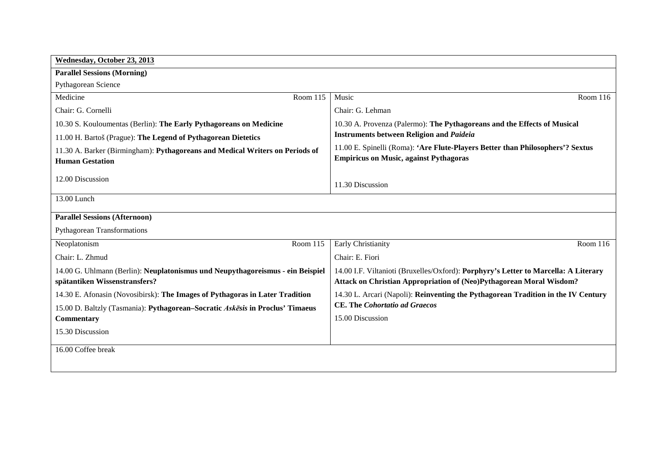| Wednesday, October 23, 2013                                                                                     |                                                                                                                                                            |  |  |
|-----------------------------------------------------------------------------------------------------------------|------------------------------------------------------------------------------------------------------------------------------------------------------------|--|--|
| <b>Parallel Sessions (Morning)</b>                                                                              |                                                                                                                                                            |  |  |
| Pythagorean Science                                                                                             |                                                                                                                                                            |  |  |
| Medicine<br>Room 115                                                                                            | Music<br>Room $116$                                                                                                                                        |  |  |
| Chair: G. Cornelli                                                                                              | Chair: G. Lehman                                                                                                                                           |  |  |
| 10.30 S. Kouloumentas (Berlin): The Early Pythagoreans on Medicine                                              | 10.30 A. Provenza (Palermo): The Pythagoreans and the Effects of Musical                                                                                   |  |  |
| 11.00 H. Bartoš (Prague): The Legend of Pythagorean Dietetics                                                   | <b>Instruments between Religion and Paideia</b>                                                                                                            |  |  |
| 11.30 A. Barker (Birmingham): Pythagoreans and Medical Writers on Periods of<br><b>Human Gestation</b>          | 11.00 E. Spinelli (Roma): 'Are Flute-Players Better than Philosophers'? Sextus<br><b>Empiricus on Music, against Pythagoras</b>                            |  |  |
| 12.00 Discussion                                                                                                | 11.30 Discussion                                                                                                                                           |  |  |
| 13.00 Lunch                                                                                                     |                                                                                                                                                            |  |  |
| <b>Parallel Sessions (Afternoon)</b>                                                                            |                                                                                                                                                            |  |  |
| <b>Pythagorean Transformations</b>                                                                              |                                                                                                                                                            |  |  |
| Room 115<br>Neoplatonism                                                                                        | Early Christianity<br>Room 116                                                                                                                             |  |  |
| Chair: L. Zhmud                                                                                                 | Chair: E. Fiori                                                                                                                                            |  |  |
| 14.00 G. Uhlmann (Berlin): Neuplatonismus und Neupythagoreismus - ein Beispiel<br>spätantiken Wissenstransfers? | 14.00 I.F. Viltanioti (Bruxelles/Oxford): Porphyry's Letter to Marcella: A Literary<br>Attack on Christian Appropriation of (Neo)Pythagorean Moral Wisdom? |  |  |
| 14.30 E. Afonasin (Novosibirsk): The Images of Pythagoras in Later Tradition                                    | 14.30 L. Arcari (Napoli): Reinventing the Pythagorean Tradition in the IV Century                                                                          |  |  |
| 15.00 D. Baltzly (Tasmania): Pythagorean-Socratic Askesis in Proclus' Timaeus                                   | <b>CE. The Cohortatio ad Graecos</b>                                                                                                                       |  |  |
| Commentary                                                                                                      | 15.00 Discussion                                                                                                                                           |  |  |
| 15.30 Discussion                                                                                                |                                                                                                                                                            |  |  |
| 16.00 Coffee break                                                                                              |                                                                                                                                                            |  |  |
|                                                                                                                 |                                                                                                                                                            |  |  |